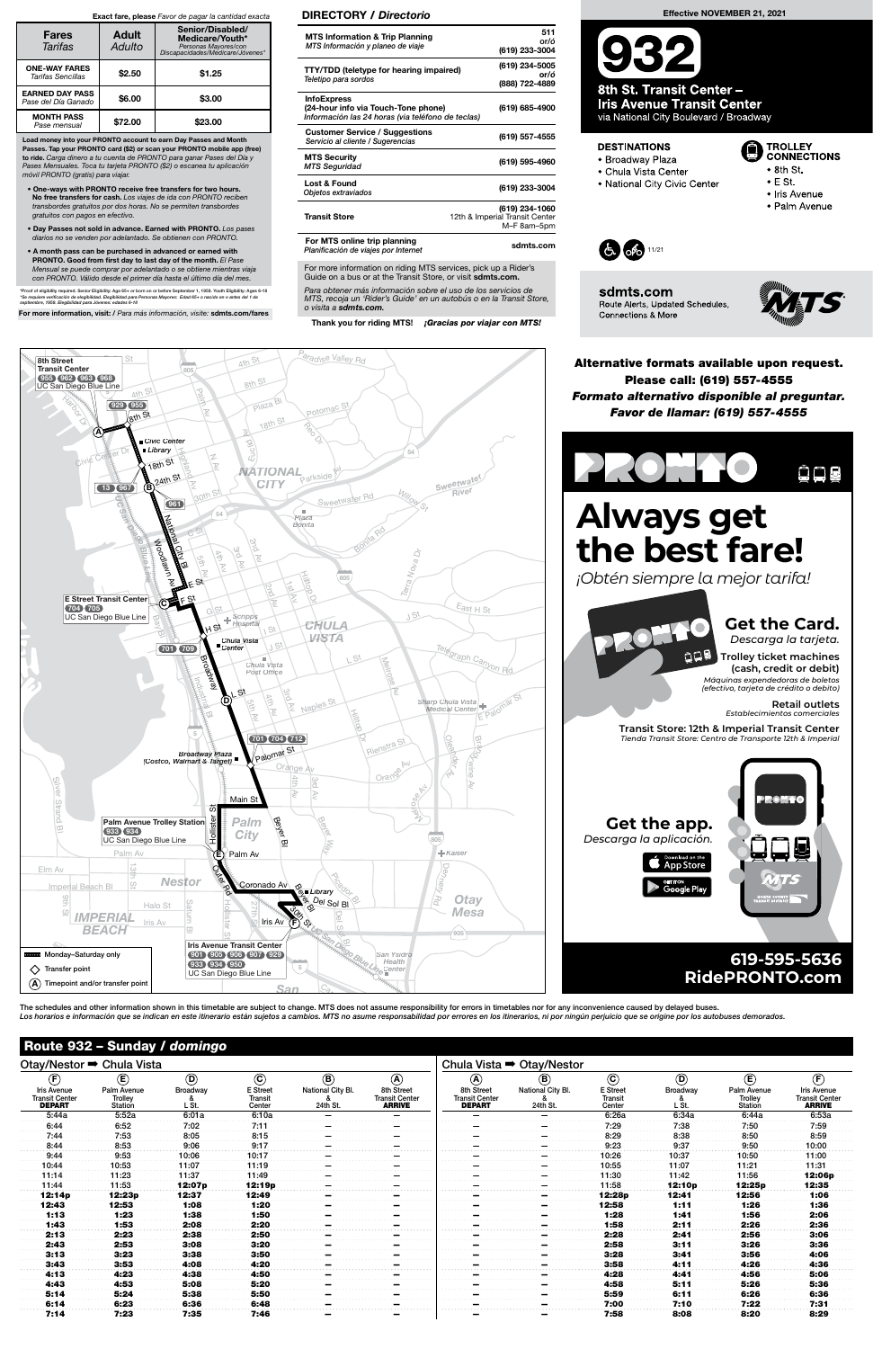| Otay/Nestor → Chula Vista                                    |                                          |                   |                                      |                               | Chula Vista $\rightarrow$ Otay/Nestor                |                                                      |                               |                                      |                   |                                          |                                                              |
|--------------------------------------------------------------|------------------------------------------|-------------------|--------------------------------------|-------------------------------|------------------------------------------------------|------------------------------------------------------|-------------------------------|--------------------------------------|-------------------|------------------------------------------|--------------------------------------------------------------|
| (F)                                                          | $\left(\mathsf{E}\right)$                | $\circledcirc$    | $\odot$                              | $\circledR$                   | $\circledA$                                          | $\left( \widehat{\mathbf{A}}\right)$                 | $\mathbf{B}$                  | $\odot$                              | $\odot$           | $\mathbf{E}$                             | $\left(\widehat{F}\right)$                                   |
| <b>Iris Avenue</b><br><b>Transit Center</b><br><b>DEPART</b> | Palm Avenue<br>Trolley<br><b>Station</b> | Broadway<br>L St. | <b>E</b> Street<br>Transit<br>Center | National City Bl.<br>24th St. | 8th Street<br><b>Transit Center</b><br><b>ARRIVE</b> | 8th Street<br><b>Transit Center</b><br><b>DEPART</b> | National City Bl.<br>24th St. | <b>E</b> Street<br>Transit<br>Center | Broadway<br>L St. | Palm Avenue<br>Trolley<br><b>Station</b> | <b>Iris Avenue</b><br><b>Transit Center</b><br><b>ARRIVE</b> |
| 5:44a                                                        | 5:52a                                    | 6:01a             | 6:10a                                |                               |                                                      |                                                      |                               | 6:26a                                | 6:34a             | 6:44a                                    | 6:53a                                                        |
| 6:44                                                         | 6:52                                     | 7:02              | 7:11                                 |                               |                                                      |                                                      |                               | 7:29                                 | 7:38              | 7:50                                     | 7:59                                                         |
| 7:44                                                         | 7:53                                     | 8:05              | 8:15                                 |                               |                                                      |                                                      |                               | 8:29                                 | 8:38              | 8:50                                     | 8:59                                                         |
| 8:44                                                         | 8:53                                     | 9:06              | 9:17                                 |                               |                                                      |                                                      |                               | 9:23                                 | 9:37              | 9:50                                     | 10:00                                                        |
| 9:44                                                         | 9:53                                     | 10:06             | 10:17                                |                               |                                                      |                                                      |                               | 10:26                                | 10:37             | 10:50                                    | 11:00                                                        |
| 10:44                                                        | 10:53                                    | 11:07             | 11:19                                |                               |                                                      |                                                      |                               | 10:55                                | 11:07             | 11:21                                    | 11:31                                                        |
| 11:14                                                        | 11:23                                    | 11:37             | 11:49                                |                               |                                                      |                                                      |                               | 11:30                                | 11:42             | 11:56                                    | 12:06p                                                       |
| 11:44                                                        | 11:53                                    | 12:07 p           | 12:19p                               |                               |                                                      |                                                      |                               | 11:58                                | 12:10p            | 12:25p                                   | 12:35                                                        |
| 12:14p                                                       | 12:23p                                   | 12:37             | 12:49                                |                               |                                                      |                                                      |                               | 12:28p                               | 12:41             | 12:56                                    | 1:06                                                         |
| 12:43                                                        | 12:53                                    | 1:08              | 1:20                                 |                               |                                                      |                                                      |                               | 12:58                                | 1:11              | 1:26                                     | 1:36                                                         |
| 1:13                                                         | 1:23                                     | 1:38              | 1:50                                 |                               |                                                      |                                                      |                               | 1:28                                 | 1:41              | 1:56                                     | 2:06                                                         |
| 1:43                                                         | 1:53                                     | 2:08              | 2:20                                 |                               |                                                      |                                                      |                               | 1:58                                 | 2:11              | 2:26                                     | 2:36                                                         |
| 2:13                                                         | 2:23                                     | 2:38              | 2:50                                 |                               |                                                      |                                                      |                               | 2:28                                 | 2:41              | 2:56                                     | 3:06                                                         |
| 2:43                                                         | 2:53                                     | 3:08              | 3:20                                 |                               |                                                      |                                                      |                               | 2:58                                 | 3:11              | 3:26                                     | 3:36                                                         |
| 3:13                                                         | 3:23                                     | 3:38              | 3:50                                 |                               |                                                      |                                                      |                               | 3:28                                 | 3:41              | 3:56                                     | 4:06                                                         |
| 3:43                                                         | 3:53                                     | 4:08              | 4:20                                 |                               |                                                      |                                                      |                               | 3:58                                 | 4:11              | 4:26                                     | 4:36                                                         |
| 4:13                                                         | 4:23                                     | 4:38              | 4:50                                 |                               |                                                      |                                                      |                               | 4:28                                 | 4:41              | 4:56                                     | 5:06                                                         |
| 4:43                                                         | 4:53                                     | 5:08              | 5:20                                 |                               |                                                      |                                                      |                               | 4:58                                 | 5:11              | 5:26                                     | 5:36                                                         |
| 5:14                                                         | 5:24                                     | 5:38              | 5:50                                 |                               |                                                      |                                                      |                               | 5:59                                 | 6:11              | 6:26                                     | 6:36                                                         |
| 6:14                                                         | 6:23                                     | 6:36              | 6:48                                 |                               |                                                      |                                                      |                               | 7:00                                 | 7:10              | 7:22                                     | 7:31                                                         |
| 7:14                                                         | 7:23                                     | 7:35              | 7:46                                 |                               |                                                      |                                                      |                               | 7:58                                 | 8:08              | 8:20                                     | 8:29                                                         |

### Route 932 – Sunday / domingo

Transfer point

 $\bm{\mathsf{A}})$  Timepoint and/or transfer point

Para obtener más información sobre el uso de los servicios de MTS, recoja un 'Rider's Guide' en un autobús o en la Transit Store, o visita a sdmts.com.

Thank you for riding MTS! **¡Gracias por viajar con MTS!** 

#### <sup>4</sup>t<sup>h</sup> St aradise Valley Rd  $\overline{\phantom{a}}$  St 8th Street Transit Center 805 5 UC San Diego Blue Line 955 962 963 968 <sup>8</sup>t<sup>h</sup> <sup>S</sup><sup>t</sup> 4th St **Palm** Harbor R <sup>P</sup>laz<sup>a</sup> <sup>B</sup><sup>l</sup> 929 955 Potomac<sub>S</sub> Av (8th Si <sup>1</sup>8t<sup>h</sup> <sup>S</sup><sup>t</sup> Reo A Civic Center **Eucli Library** enter Dr Highland<br>Publik 54 <sup>C</sup>ivi<sup>c</sup> <sup>C</sup> N <sup>1</sup>8t<sup>h</sup> <sup>S</sup><sup>t</sup> Av NATIONAL Sweetwate<sup>r</sup> 24th St arkside Av **CITY** G 13 967 Rive<sup>r</sup> <sup>3</sup>0t<sup>h</sup> <sup>S</sup><sup>t</sup> <sup>S</sup>weetwate<sup>r</sup> <sup>R</sup><sup>d</sup> Willow St UC 961 San Diego 54 National<br>National Plaza Bonita Bonita Rd C S<sup>t</sup> 2nd Woodlawn City 3rd Blue ð  $\approx$ Av g<br>3 Av Nova Bl Av LinAv Filippi 805  $\overline{z}$ መ S<sup>t</sup> Terra E12nd  $\widetilde{\sigma}$ Av E Street Transit Center ائ<br>ا  $\supseteq$ FAv (C) 704 705 <sup>E</sup>as<sup>t</sup> <sup>H</sup> <sup>S</sup><sup>t</sup> G S<sup>t</sup> <sup>J</sup> S<sup>t</sup> UC San Diego Blue Line Scripps Hospital Bay CHULA St H S<sup>t</sup> Bl VISTA Chula Vista Center J S<sup>t</sup> 701 709 graph Canyon Rd S<sup>t</sup> Broadway LMelrose Chula Vista Post Office **Industrial** Av St 3rd L4th Palomar St D Sharp Chula Vista p<br>B Naples Av edical Center Av Filipp Bl Av E5 701 704 712 P<br>Rienstra St Oleand**My Way** Palomar St Broadway Plaza (Costco, Walmart & Target) er Orange Oran<sup>o</sup> i<br>Ei Av 4Silvي Av d Melley-Av Av  $\overline{\phantom{a}}$ Main S<sup>t</sup> Strand ÷ Hollister St Beyer Palm Avenue Trolley Station Palm Beyer 933 934 City 주 JC San Diego Blue Line 805  $\sigma$ Way  $\mathsf{⊩}$  Kaiser Palm A<sup>v</sup> YE) Palm Av 13th Elm Av Outer Rd en ibrary<br>Del Sol Bl Nestor | CO Coronado Av Imperial Beach Bl **B**u Library<br> **Bu** Del S <sup>r</sup>y **Otay** 9th Rd Halo St Saturn Holl 27th  $\Phi$  $\mathcal{S}_2$ Mesa  $\mathbb{S}^+$ **IMPERIAL** Iris Av eIris Av F  $\zeta$ ter  $\overline{\mathbb{S}}$ **BEACH**  $\overline{\omega}$ UC SAN DIE GRAND SE  $(905)$ ur St<br>St BIris Avenue Transit Center Monday–Saturday only San Ysidro Health 901 905 906 907 929 933 934 950

5

San

**Retail outlets**  $Estable$ *cimientos* 

UC San Diego Blue Line

Alternative formats available upon request. Please call: (619) 557-4555 Formato alternativo disponible al preguntar. Favor de llamar: (619) 557-4555

For more information on riding MTS services, pick up a Rider's Guide on a bus or at the Transit Store, or visit sdmts.com.

#### DIRECTORY / Directorio

| <b>MTS Information &amp; Trip Planning</b><br>MTS Información y planeo de viaje                                | 511<br>or/ó<br>(619) 233-3004                                   |
|----------------------------------------------------------------------------------------------------------------|-----------------------------------------------------------------|
| <b>TTY/TDD</b> (teletype for hearing impaired)<br>Teletipo para sordos                                         | (619) 234-5005<br>or/ó<br>(888) 722-4889                        |
| <b>InfoExpress</b><br>(24-hour info via Touch-Tone phone)<br>Información las 24 horas (via teléfono de teclas) | (619) 685-4900                                                  |
| <b>Customer Service / Suggestions</b><br>Servicio al cliente / Sugerencias                                     | (619) 557-4555                                                  |
| <b>MTS Security</b><br><b>MTS Seguridad</b>                                                                    | (619) 595-4960                                                  |
| Lost & Found<br>Objetos extraviados                                                                            | (619) 233-3004                                                  |
| <b>Transit Store</b>                                                                                           | (619) 234-1060<br>12th & Imperial Transit Center<br>M-F 8am-5pm |
| For MTS online trip planning<br>Planificación de viajes por Internet                                           | sdmts.com                                                       |

Effective NOVEMBER 21, 2021

8th St. Transit Center -**Iris Avenue Transit Center** 

via National City Boulevard / Broadway

#### **DESTINATIONS**

- · Broadway Plaza
- Chula Vista Center
- National City Civic Center
- **TROLLEY<br>CONNECTIONS** Œ  $\bullet$  8th St.
- $\bullet$  E St.
	- Iris Avenue
	- · Palm Avenue



Connections & More

Route Alerts, Updated Schedules,

olo 11/21



Load money into your PRONTO account to earn Day Passes and Month Passes. Tap your PRONTO card (\$2) or scan your PRONTO mobile app (free) to ride. Carga dinero a tu cuenta de PRONTO para ganar Pases del Día y Pases Mensuales. Toca tu tarjeta PRONTO (\$2) o escanea tu aplicación móvil PRONTO (gratis) para viajar.

- One-ways with PRONTO receive free transfers for two hours. No free transfers for cash. Los viajes de ida con PRONTO reciben transbordes gratuitos por dos horas. No se permiten transbordes gratuitos con pagos en efectivo.
- Day Passes not sold in advance. Earned with PRONTO. Los pases diarios no se venden por adelantado. Se obtienen con PRONTO.
- A month pass can be purchased in advanced or earned with PRONTO. Good from first day to last day of the month. El Pase Mensual se puede comprar por adelantado o se obtiene mientras viaja con PRONTO. Válido desde el primer día hasta el último día del mes.

\*Proof of eligibility required. Senior Eligibility: Age 65+ or born on or before September 1, 1959. Youth Eligibility: Ages 6-18<br>\*Se requiere verificación de elegibilidad. Elegibilidad para Personas Mayores: Edad 65+ o nac

For more information, visit: / Para más información, visite: sdmts.com/fares

#### Exact fare, please Favor de pagar la cantidad exacta

| <b>Fares</b><br>Tarifas                       | <b>Adult</b><br>Adulto | Senior/Disabled/<br>Medicare/Youth*<br>Personas Mayores/con<br>Discapacidades/Medicare/Jóvenes* |
|-----------------------------------------------|------------------------|-------------------------------------------------------------------------------------------------|
| <b>ONE-WAY FARES</b><br>Tarifas Sencillas     | \$2.50                 | \$1.25                                                                                          |
| <b>EARNED DAY PASS</b><br>Pase del Día Ganado | \$6.00                 | \$3.00                                                                                          |
| <b>MONTH PASS</b><br>Pase mensual             | \$72.00                | \$23.00                                                                                         |

## **RidePRONTO.com 619-595-5636**

The schedules and other information shown in this timetable are subject to change. MTS does not assume responsibility for errors in timetables nor for any inconvenience caused by delayed buses. Los horarios e información que se indican en este itinerario están sujetos a cambios. MTS no asume responsabilidad por errores en los itinerarios, ni por ningún perjuicio que se origine por los autobuses demorados.<br>Los hor  $C_{\partial}$ 

 $C$ ente

# **Get the Card.**



*¡Obtén siempre la mejor tarifa!*

# $C$ de

*Descarga la tarjeta.* **Trolley ticket machines (cash, credit or debit)**

*Máquinas expendedoras de boletos (efectivo, tarjeta de crédito o debito)*



 **Transit Store: 12th & Imperial Transit Center** *Tienda Transit Store: Centro de Transporte 12th & Imperial*